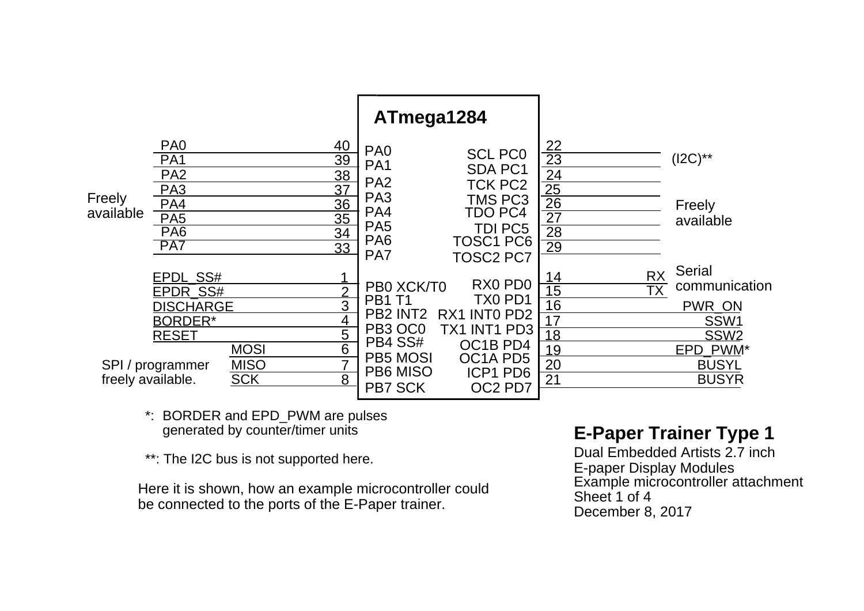|                     |                                                                                                                              |                                          |                                                                                                                            | ATmega1284                                                                                                                             |                                                                                                                                           |                                                                         |                                                                                                                                                      |
|---------------------|------------------------------------------------------------------------------------------------------------------------------|------------------------------------------|----------------------------------------------------------------------------------------------------------------------------|----------------------------------------------------------------------------------------------------------------------------------------|-------------------------------------------------------------------------------------------------------------------------------------------|-------------------------------------------------------------------------|------------------------------------------------------------------------------------------------------------------------------------------------------|
| Freely<br>available | PA <sub>0</sub><br>PA <sub>1</sub><br>PA <sub>2</sub><br>PA <sub>3</sub><br>PA4<br>PA <sub>5</sub><br>PA <sub>6</sub><br>PA7 |                                          | 40<br>39<br><u>38</u><br>37<br>36<br>35<br>34<br>33                                                                        | PA <sub>0</sub><br>PA <sub>1</sub><br>PA <sub>2</sub><br>PA <sub>3</sub><br>PA4<br>PA <sub>5</sub><br>PA <sub>6</sub><br>PA7           | <b>SCL PCO</b><br><b>SDA PC1</b><br><b>TCK PC2</b><br><b>TMS PC3</b><br>TDO PC4<br><b>TDI PC5</b><br><b>TOSC1 PC6</b><br><b>TOSC2 PC7</b> | $\frac{22}{23}$<br>24<br>$\frac{25}{26}$<br>$\overline{27}$<br>28<br>29 | $(12C)$ **<br>Freely<br>available<br><b>Serial</b>                                                                                                   |
| freely available.   | EPDL_SS#<br>EPDR SS#<br><b>DISCHARGE</b><br><b>BORDER*</b><br><b>RESET</b><br>SPI / programmer                               | <b>MOSI</b><br><b>MISO</b><br><b>SCK</b> | $\overline{2}$<br>$\overline{3}$<br>$\overline{4}$<br>$\overline{5}$<br>$\overline{6}$<br>$\overline{7}$<br>$\overline{8}$ | PB0 XCK/T0<br><b>PB1 T1</b><br>PB <sub>2</sub> INT <sub>2</sub><br>PB3 OC0<br>PB4 SS#<br><b>PB5 MOSI</b><br>PB6 MISO<br><b>PB7 SCK</b> | RX0 PD0<br>TX0 PD1<br>RX1 INTO PD2<br>TX1 INT1 PD3<br>OC1B PD4<br>OC1A PD5<br><b>ICP1 PD6</b><br>OC2 PD7                                  | 14<br>15<br>16<br>17<br>18<br>19<br>20<br>$\overline{21}$               | <b>RX</b><br>communication<br>$\overline{\mathsf{TX}}$<br>PWR_ON<br>SSW <sub>1</sub><br>SSW <sub>2</sub><br>EPD PWM*<br><b>BUSYL</b><br><b>BUSYR</b> |

\*: BORDER and EPD\_PWM are pulses generated by counter/timer units

\*\*: The I2C bus is not supported here.

Here it is shown, how an example microcontroller could be connected to the ports of the E-Paper trainer.

## **E-Paper Trainer Type 1**

Dual Embedded Artists 2.7 inch E-paper Display Modules Example microcontroller attachment Sheet 1 of 4 December 8, 2017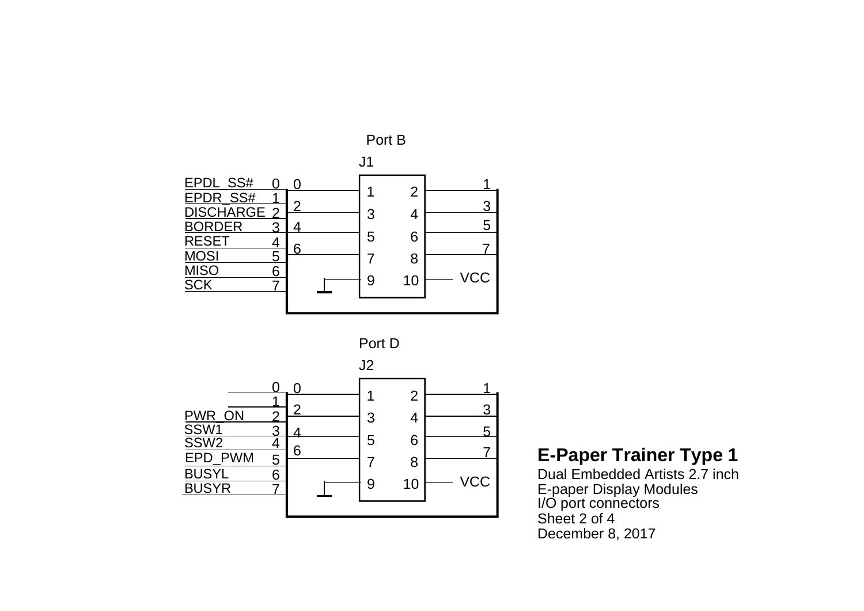





Dual Embedded Artists 2.7 inch E-paper Display Modules I/O port connectors Sheet 2 of 4December 8, 2017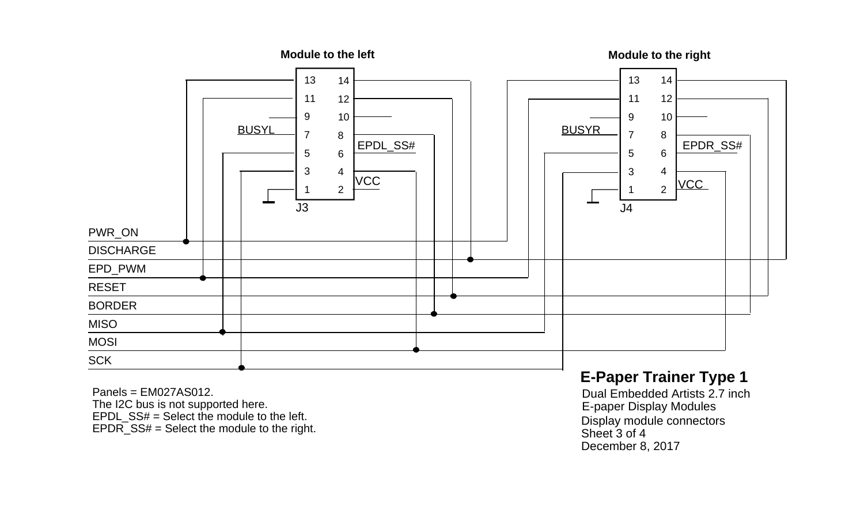

Panels = EM027AS012.The I2C bus is not supported here. EPDL\_SS# = Select the module to the left. EPDR\_SS# = Select the module to the right.

## **E-Paper Trainer Type 1**

Dual Embedded Artists 2.7 inch E-paper Display Modules Display module connectors Sheet 3 of 4 December 8, 2017